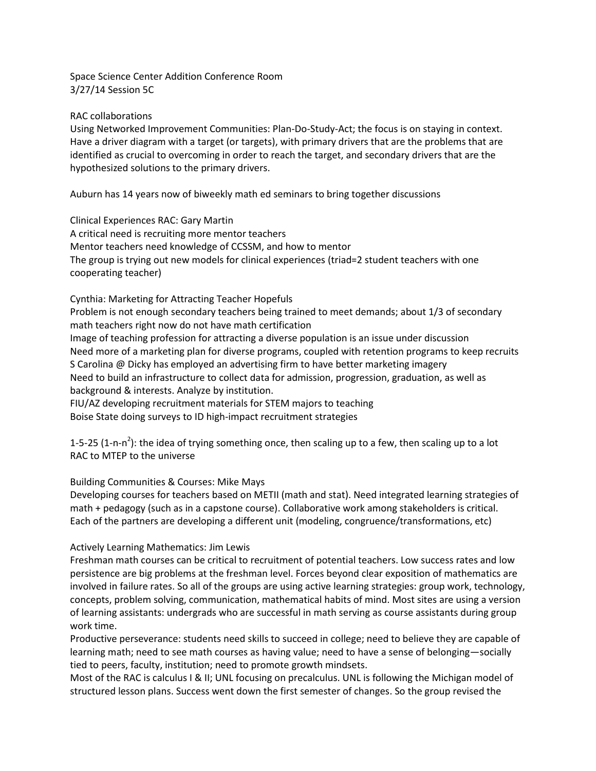Space Science Center Addition Conference Room 3/27/14 Session 5C

RAC collaborations

Using Networked Improvement Communities: Plan-Do-Study-Act; the focus is on staying in context. Have a driver diagram with a target (or targets), with primary drivers that are the problems that are identified as crucial to overcoming in order to reach the target, and secondary drivers that are the hypothesized solutions to the primary drivers.

Auburn has 14 years now of biweekly math ed seminars to bring together discussions

Clinical Experiences RAC: Gary Martin A critical need is recruiting more mentor teachers Mentor teachers need knowledge of CCSSM, and how to mentor The group is trying out new models for clinical experiences (triad=2 student teachers with one cooperating teacher)

Cynthia: Marketing for Attracting Teacher Hopefuls Problem is not enough secondary teachers being trained to meet demands; about 1/3 of secondary math teachers right now do not have math certification Image of teaching profession for attracting a diverse population is an issue under discussion Need more of a marketing plan for diverse programs, coupled with retention programs to keep recruits S Carolina @ Dicky has employed an advertising firm to have better marketing imagery Need to build an infrastructure to collect data for admission, progression, graduation, as well as background & interests. Analyze by institution. FIU/AZ developing recruitment materials for STEM majors to teaching

Boise State doing surveys to ID high-impact recruitment strategies

1-5-25 (1-n-n<sup>2</sup>): the idea of trying something once, then scaling up to a few, then scaling up to a lot RAC to MTEP to the universe

Building Communities & Courses: Mike Mays

Developing courses for teachers based on METII (math and stat). Need integrated learning strategies of math + pedagogy (such as in a capstone course). Collaborative work among stakeholders is critical. Each of the partners are developing a different unit (modeling, congruence/transformations, etc)

## Actively Learning Mathematics: Jim Lewis

Freshman math courses can be critical to recruitment of potential teachers. Low success rates and low persistence are big problems at the freshman level. Forces beyond clear exposition of mathematics are involved in failure rates. So all of the groups are using active learning strategies: group work, technology, concepts, problem solving, communication, mathematical habits of mind. Most sites are using a version of learning assistants: undergrads who are successful in math serving as course assistants during group work time.

Productive perseverance: students need skills to succeed in college; need to believe they are capable of learning math; need to see math courses as having value; need to have a sense of belonging—socially tied to peers, faculty, institution; need to promote growth mindsets.

Most of the RAC is calculus I & II; UNL focusing on precalculus. UNL is following the Michigan model of structured lesson plans. Success went down the first semester of changes. So the group revised the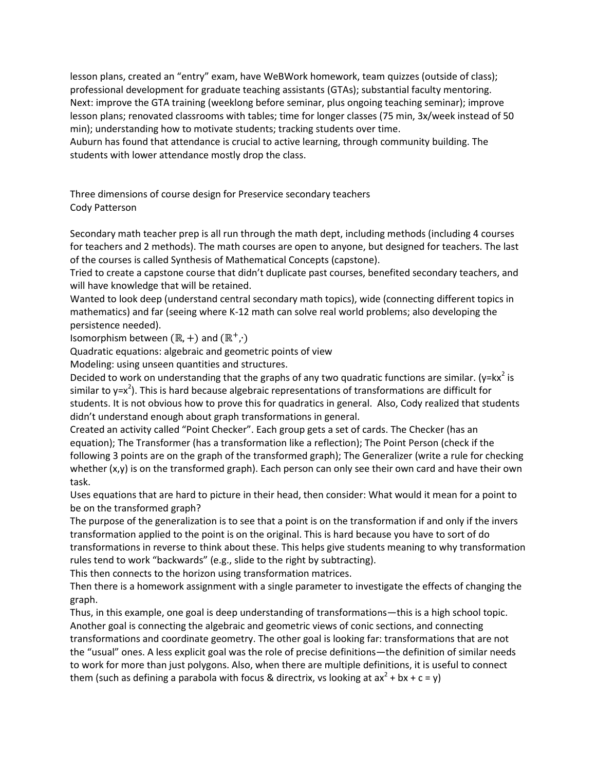lesson plans, created an "entry" exam, have WeBWork homework, team quizzes (outside of class); professional development for graduate teaching assistants (GTAs); substantial faculty mentoring. Next: improve the GTA training (weeklong before seminar, plus ongoing teaching seminar); improve lesson plans; renovated classrooms with tables; time for longer classes (75 min, 3x/week instead of 50 min); understanding how to motivate students; tracking students over time.

Auburn has found that attendance is crucial to active learning, through community building. The students with lower attendance mostly drop the class.

Three dimensions of course design for Preservice secondary teachers Cody Patterson

Secondary math teacher prep is all run through the math dept, including methods (including 4 courses for teachers and 2 methods). The math courses are open to anyone, but designed for teachers. The last of the courses is called Synthesis of Mathematical Concepts (capstone).

Tried to create a capstone course that didn't duplicate past courses, benefited secondary teachers, and will have knowledge that will be retained.

Wanted to look deep (understand central secondary math topics), wide (connecting different topics in mathematics) and far (seeing where K-12 math can solve real world problems; also developing the persistence needed).

Isomorphism between  $(\mathbb{R}, +)$  and  $(\mathbb{R}^+, \cdot)$ 

Quadratic equations: algebraic and geometric points of view

Modeling: using unseen quantities and structures.

Decided to work on understanding that the graphs of any two quadratic functions are similar. (y=kx<sup>2</sup> is similar to y=x<sup>2</sup>). This is hard because algebraic representations of transformations are difficult for students. It is not obvious how to prove this for quadratics in general. Also, Cody realized that students didn't understand enough about graph transformations in general.

Created an activity called "Point Checker". Each group gets a set of cards. The Checker (has an equation); The Transformer (has a transformation like a reflection); The Point Person (check if the following 3 points are on the graph of the transformed graph); The Generalizer (write a rule for checking whether (x,y) is on the transformed graph). Each person can only see their own card and have their own task.

Uses equations that are hard to picture in their head, then consider: What would it mean for a point to be on the transformed graph?

The purpose of the generalization is to see that a point is on the transformation if and only if the invers transformation applied to the point is on the original. This is hard because you have to sort of do transformations in reverse to think about these. This helps give students meaning to why transformation rules tend to work "backwards" (e.g., slide to the right by subtracting).

This then connects to the horizon using transformation matrices.

Then there is a homework assignment with a single parameter to investigate the effects of changing the graph.

Thus, in this example, one goal is deep understanding of transformations—this is a high school topic. Another goal is connecting the algebraic and geometric views of conic sections, and connecting transformations and coordinate geometry. The other goal is looking far: transformations that are not the "usual" ones. A less explicit goal was the role of precise definitions—the definition of similar needs to work for more than just polygons. Also, when there are multiple definitions, it is useful to connect them (such as defining a parabola with focus & directrix, vs looking at ax<sup>2</sup> + bx + c = y)